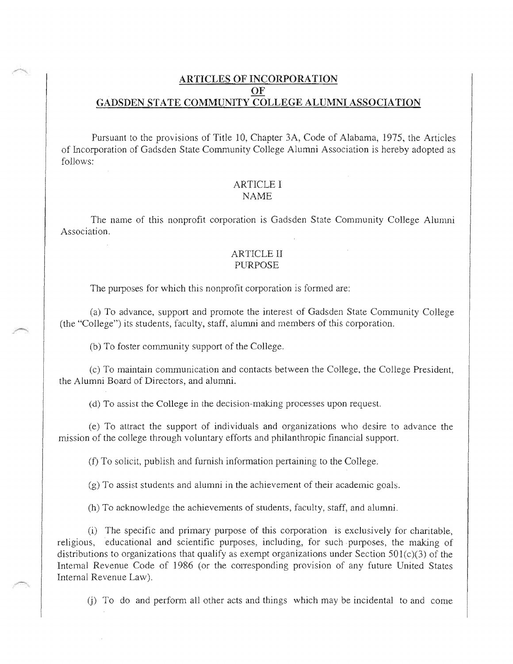# ARTICLES OF INCORPORATION OF GADSDEN STATE COMMUNITY COLLEGE ALUMNI ASSOCIATION

Pursuant to the provisions of Title 10, Chapter 3A, Code of Alabama, 1975, the Articles of Incorporation of Gadsden State Community College Alumni Association is hereby adopted as follows:

#### **ARTICLE I** NAME

The name of this nonprofit corporation is Gadsden State Community College Alumni Association.

## **ARTICLE II PURPOSE**

The purposes for which this nonprofit corporation is formed are:

To advance, support and promote the interest of Gadsden State Community College (the "College") its students, faculty, staff, alumni and members of this corpora

(b) To foster community support of the College.

(c) To maintain communication and contacts between the College, the College President, the Alumni Board of Directors, and alumni.

(d) To assist the College in the decision-making processes upon request.

(e) To attract the support of individuals and organizations who desire to advance the mission of the college through voluntary efforts and philanthropic financial support.

(f) To solicit, publish and furnish information pertaining to the College.

 $(g)$  To assist students and alumni in the achievement of their academic goals.

(h) To acknowledge the achievements of students, faculty, staff, and alumni.

(i) The specific and primary purpose of this corporation is exclusively for charitable, educational and scientific purposes, including, for such purposes, the making of distributions to organizations that qualify as exempt organizations under Section  $501(c)(3)$  of the Internal Revenue Code of 1986 (or the corresponding provision of any future United States Internal Revenue Law),

 $\pi$ ) To do and perform all other acts and things which may be incidental to and come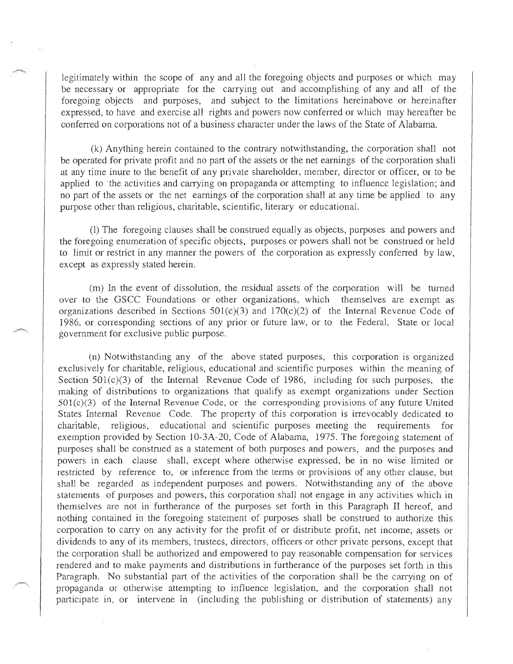legitimately within the scope of any and all the foregoing objects and purposes or which may be necessary or appropriate for the carrying out and accomplishing of any and all of the foregoing objects and purposes, and subject to the limitations hereinabove or hereinafter expressed, to have and exercise all rights and powers now conferred or which may hereafter be conferred on corporations not of a business character under the laws of the State of Alabama.

 $(k)$  Anything herein contained to the contrary notwithstanding, the corporation shall not be operated for private profit and no part of the assets or the net earnings of the corporation shall at any time inure to the benefit of any private shareholder, member, director or officer, or to be applied to the activities and carrying on propaganda or attempting to influence legislation; and no part of the assets or the net earnings of the corporation shall at any time be applied to any purpose other than religious, charitable, scientific, literary or educational.

(1) The foregoing clauses shall be construed equally as objects, purposes and powers and the foregoing enumeration of specific objects, purposes or powers shall not be to limit or restrict in any manner the powers of the corporation as expressly conferred except as expressly stated herein.

residual assets of the corporation will which themselves are exempt as 170(c)(2) of the Internal Revenue Code of prior or future law, or to the Federal, State or government for exclusive public purpose.

 $(n)$  Notwithstanding any of the above stated purposes, this corporation is organized exclusively for charitable, religious, educational and scientific purposes within the meaning Section  $501(c)(3)$  of the Internal Revenue Code of 1986, including for such purposes, the making of distributions to organizations that qualify as exempt organizations under Section  $501(c)(3)$  of the Internal Revenue Code, or the corresponding provisions of any future United Internal Revenue Code. The property of this corporation is irrevocably dedicated to charitable, religious, educational and scientific purposes meeting the requirements for exemption provided by Section 10-3A-20, Code of Alabama, 1975. The foregoing statement of purposes shall be construed as a statement of both purposes and powers, and the purposes and powers in each clause shall, except where otherwise expressed, be in no wise limited or restricted by reference to, or inference from the terms or provisions of any other clause, but shall be regarded as independent purposes and powers. Notwithstanding any of the above statements of purposes and powers, this corporation shall not engage in any activities which in themselves are not in furtherance of the purposes set forth in this Paragraph II hereof, and nothing contained in the foregoing statement of purposes shall be construed to authorize this corporation to carry on any activity for the profit of or distribute profit, net income, assets or dividends to any of its members, trustees, directors, officers or other private persons, except that the corporation shall be authorized and empowered to pay reasonable compensation for services rendered and to make payments and distributions in furtherance of the purposes set forth in this Paragraph. No substantial part of the activities of the corporation shall be the carrying on of or otherwise attempting to influence legislation, and the corporation shall not participate in, or intervene in (including the publishing or distribution of statements) any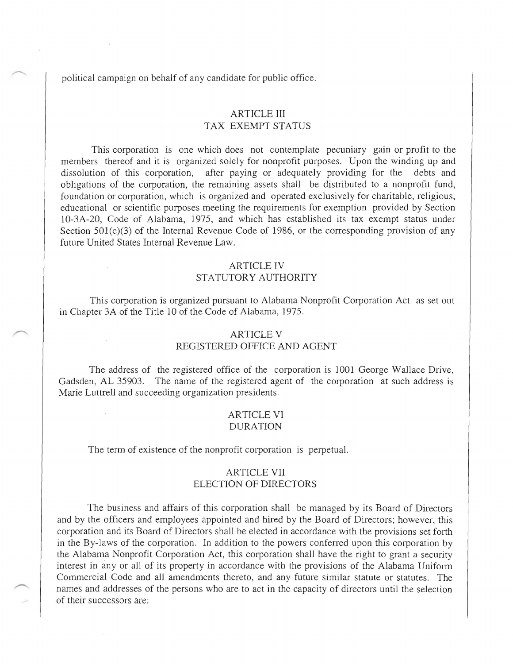political campaign on behalf of any candidate for public office.

# ARTICLE III TAX EXEMPT STATUS

This corporation is one which does not contemplate pecuniary gain or profit to the members thereof and it is organized solely for nonprofit purposes. Upon the winding up and dissolution of this corporation, after paying or adequately providing for the debts and obligations of the corporation, the remaining assets shall be distributed to a nonprofit fund, foundation or corporation, which is organized and operated exclusively for charitable, religious, educational or scientific purposes meeting the requirements for exemption provided by Section 10-3A-20, Code of Alabama, 1975, and which has established its tax exempt status under Section 501(c)(3) of the Internal Revenue Code of 1986, or the corresponding provision of any future United States Internal Revenue Law.

#### ARTICLE IV

#### STATUTORY AUTHORITY

This corporation is organized pursuant to Alabama Nonprofit Corporation Act as set out in Chapter 3A of the Title 10 of the Code of Alabama, 1975.

#### ARTICLE V

## REGISTERED OFFICE AND AGENT

The address of the registered office of the corporation is 1001 George Wallace Drive, Gadsden, AL 35903. The name of the registered agent of the corporation at such address is Marie Luttrell and succeeding organization presidents.

### ARTICLE VI DURATION

The term of existence of the nonprofit corporation is perpetual.

### ARTICLE VII ELECTION OF DIRECTORS

The business and affairs of this corporation shall be managed by its Board of Directors and by the officers and employees appointed and hired by the Board of Directors; however, this corporation and its Board of Directors shall be elected in accordance with the provisions set forth in the By-laws of the corporation. In addition to the powers conferred upon this corporation by the Alabama Nonprofit Corporation Act, this corporation shall have the right to grant a security interest in any or all of its property in accordance with the provisions of the Alabama Uniform Commercial Code and all amendments thereto, and any future similar statute or statutes. The names and addresses of the persons who are to act in the capacity of directors until the selection of their successors are: